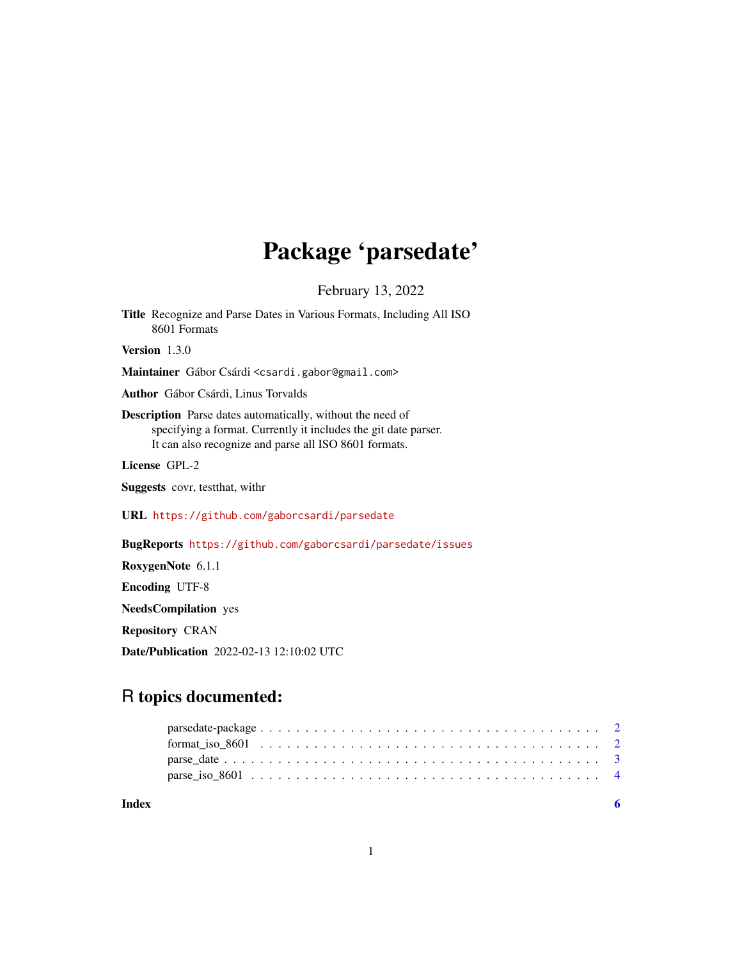## Package 'parsedate'

February 13, 2022

Title Recognize and Parse Dates in Various Formats, Including All ISO 8601 Formats

Version 1.3.0

Maintainer Gábor Csárdi <csardi.gabor@gmail.com>

Author Gábor Csárdi, Linus Torvalds

Description Parse dates automatically, without the need of specifying a format. Currently it includes the git date parser. It can also recognize and parse all ISO 8601 formats.

License GPL-2

Suggests covr, testthat, withr

URL <https://github.com/gaborcsardi/parsedate>

BugReports <https://github.com/gaborcsardi/parsedate/issues>

RoxygenNote 6.1.1

Encoding UTF-8

NeedsCompilation yes

Repository CRAN

Date/Publication 2022-02-13 12:10:02 UTC

### R topics documented:

**Index** [6](#page-5-0) **6**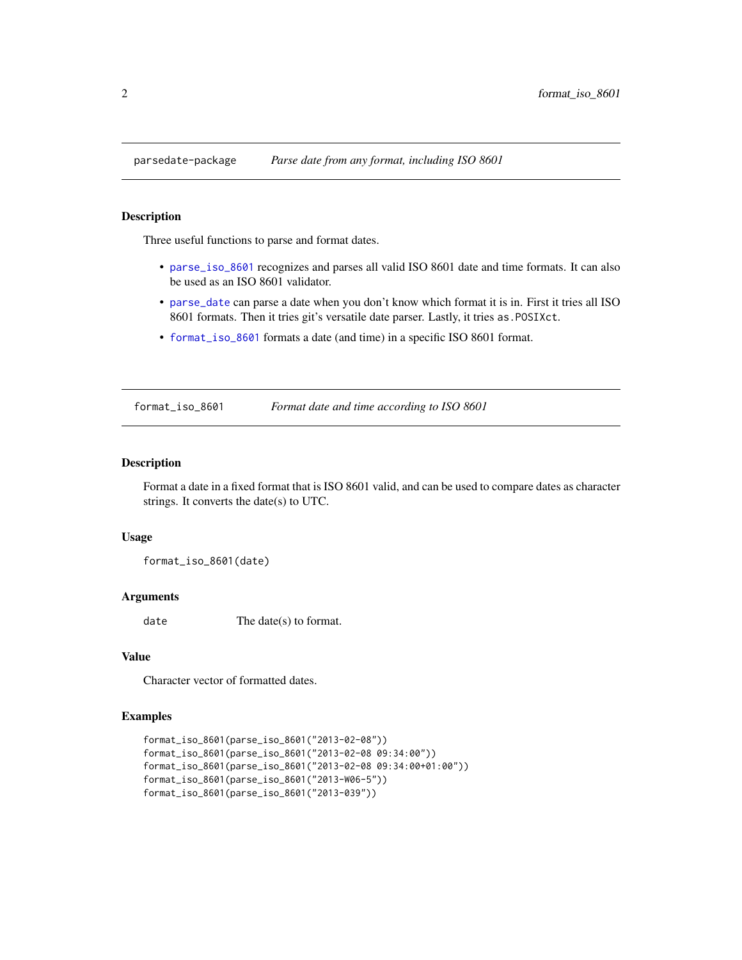<span id="page-1-0"></span>

#### Description

Three useful functions to parse and format dates.

- [parse\\_iso\\_8601](#page-3-1) recognizes and parses all valid ISO 8601 date and time formats. It can also be used as an ISO 8601 validator.
- [parse\\_date](#page-2-1) can parse a date when you don't know which format it is in. First it tries all ISO 8601 formats. Then it tries git's versatile date parser. Lastly, it tries as.POSIXct.
- [format\\_iso\\_8601](#page-1-1) formats a date (and time) in a specific ISO 8601 format.

<span id="page-1-1"></span>format\_iso\_8601 *Format date and time according to ISO 8601*

#### Description

Format a date in a fixed format that is ISO 8601 valid, and can be used to compare dates as character strings. It converts the date(s) to UTC.

#### Usage

format\_iso\_8601(date)

#### Arguments

date The date(s) to format.

#### Value

Character vector of formatted dates.

#### Examples

```
format_iso_8601(parse_iso_8601("2013-02-08"))
format_iso_8601(parse_iso_8601("2013-02-08 09:34:00"))
format_iso_8601(parse_iso_8601("2013-02-08 09:34:00+01:00"))
format_iso_8601(parse_iso_8601("2013-W06-5"))
format_iso_8601(parse_iso_8601("2013-039"))
```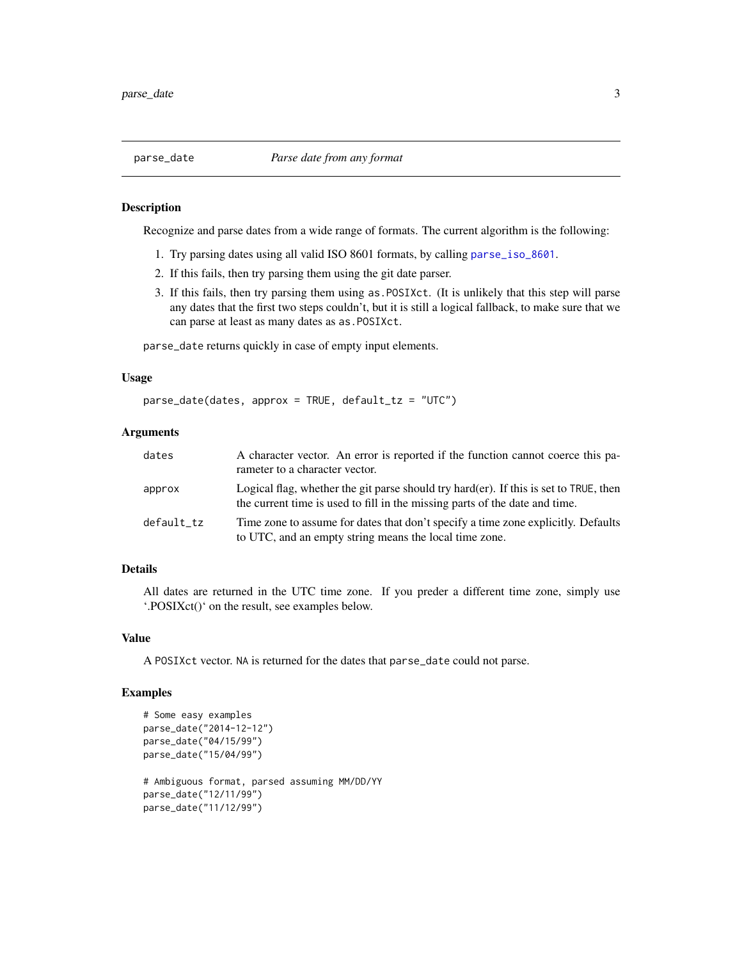<span id="page-2-1"></span><span id="page-2-0"></span>

#### Description

Recognize and parse dates from a wide range of formats. The current algorithm is the following:

- 1. Try parsing dates using all valid ISO 8601 formats, by calling [parse\\_iso\\_8601](#page-3-1).
- 2. If this fails, then try parsing them using the git date parser.
- 3. If this fails, then try parsing them using as.POSIXct. (It is unlikely that this step will parse any dates that the first two steps couldn't, but it is still a logical fallback, to make sure that we can parse at least as many dates as as.POSIXct.

parse\_date returns quickly in case of empty input elements.

#### Usage

```
parse_date(dates, approx = TRUE, default_tz = "UTC")
```
#### Arguments

| dates      | A character vector. An error is reported if the function cannot coerce this pa-<br>rameter to a character vector.                                                       |
|------------|-------------------------------------------------------------------------------------------------------------------------------------------------------------------------|
| approx     | Logical flag, whether the git parse should try hard $er$ ). If this is set to TRUE, then<br>the current time is used to fill in the missing parts of the date and time. |
| default_tz | Time zone to assume for dates that don't specify a time zone explicitly. Defaults<br>to UTC, and an empty string means the local time zone.                             |

#### Details

All dates are returned in the UTC time zone. If you preder a different time zone, simply use '.POSIXct()' on the result, see examples below.

#### Value

A POSIXct vector. NA is returned for the dates that parse\_date could not parse.

#### Examples

```
# Some easy examples
parse_date("2014-12-12")
parse_date("04/15/99")
parse_date("15/04/99")
# Ambiguous format, parsed assuming MM/DD/YY
parse_date("12/11/99")
parse_date("11/12/99")
```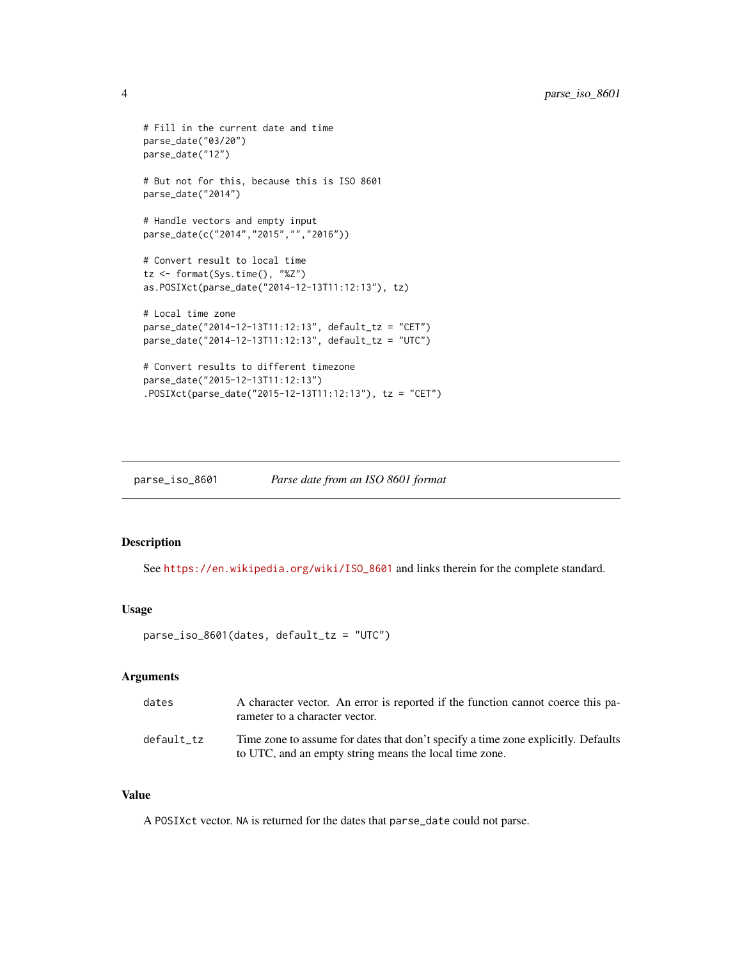```
# Fill in the current date and time
parse_date("03/20")
parse_date("12")
# But not for this, because this is ISO 8601
parse_date("2014")
# Handle vectors and empty input
parse_date(c("2014","2015","","2016"))
# Convert result to local time
tz <- format(Sys.time(), "%Z")
as.POSIXct(parse_date("2014-12-13T11:12:13"), tz)
# Local time zone
parse_date("2014-12-13T11:12:13", default_tz = "CET")
parse_date("2014-12-13T11:12:13", default_tz = "UTC")
# Convert results to different timezone
parse_date("2015-12-13T11:12:13")
.POSIXct(parse_date("2015-12-13T11:12:13"), tz = "CET")
```
<span id="page-3-1"></span>parse\_iso\_8601 *Parse date from an ISO 8601 format*

#### Description

See [https://en.wikipedia.org/wiki/ISO\\_8601](https://en.wikipedia.org/wiki/ISO_8601) and links therein for the complete standard.

#### Usage

```
parse_iso_8601(dates, default_tz = "UTC")
```
#### Arguments

| dates      | A character vector. An error is reported if the function cannot coerce this pa-<br>rameter to a character vector.                           |
|------------|---------------------------------------------------------------------------------------------------------------------------------------------|
| default tz | Time zone to assume for dates that don't specify a time zone explicitly. Defaults<br>to UTC, and an empty string means the local time zone. |

#### Value

A POSIXct vector. NA is returned for the dates that parse\_date could not parse.

<span id="page-3-0"></span>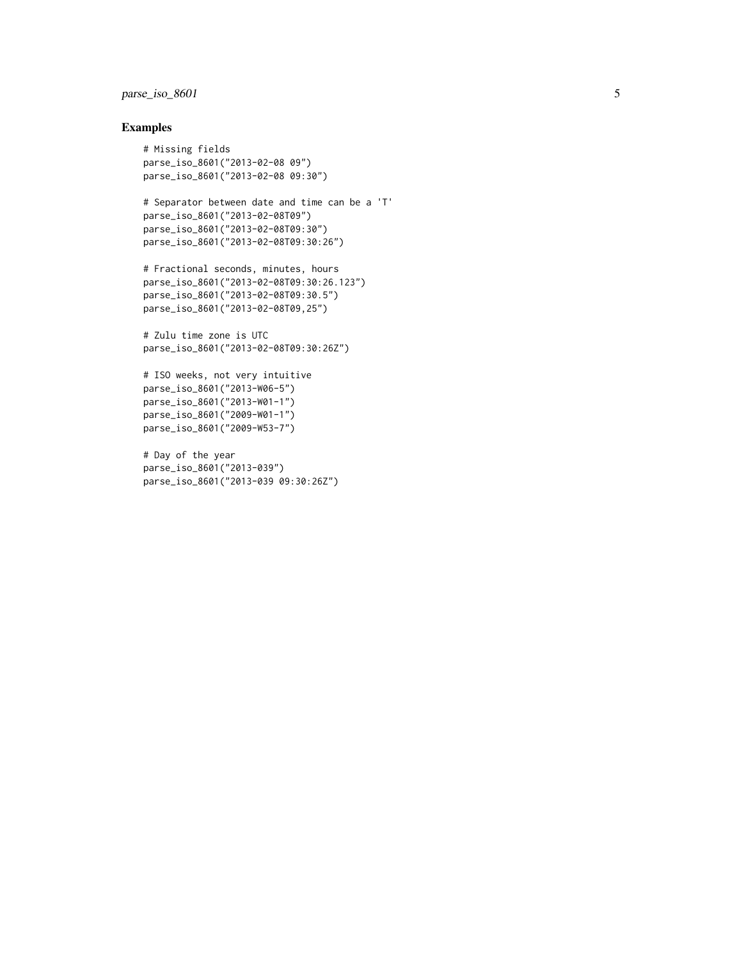#### parse\_iso\_8601

#### Examples

```
# Missing fields
parse_iso_8601("2013-02-08 09")
parse_iso_8601("2013-02-08 09:30")
```

```
# Separator between date and time can be a 'T'
parse_iso_8601("2013-02-08T09")
parse_iso_8601("2013-02-08T09:30")
parse_iso_8601("2013-02-08T09:30:26")
```

```
# Fractional seconds, minutes, hours
parse_iso_8601("2013-02-08T09:30:26.123")
parse_iso_8601("2013-02-08T09:30.5")
parse_iso_8601("2013-02-08T09,25")
```

```
# Zulu time zone is UTC
parse_iso_8601("2013-02-08T09:30:26Z")
```

```
# ISO weeks, not very intuitive
parse_iso_8601("2013-W06-5")
parse_iso_8601("2013-W01-1")
parse_iso_8601("2009-W01-1")
parse_iso_8601("2009-W53-7")
```

```
# Day of the year
parse_iso_8601("2013-039")
parse_iso_8601("2013-039 09:30:26Z")
```